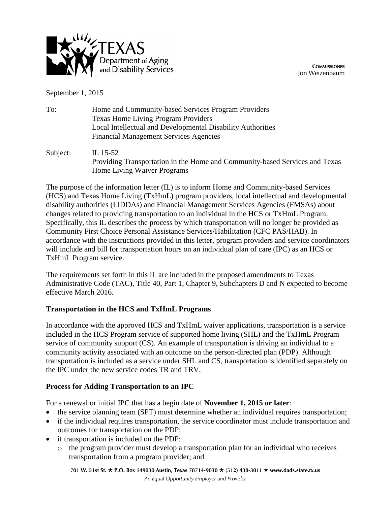

**COMMISSIONER** Jon Weizenbaum

September 1, 2015

| To:      | Home and Community-based Services Program Providers<br><b>Texas Home Living Program Providers</b><br>Local Intellectual and Developmental Disability Authorities<br><b>Financial Management Services Agencies</b> |  |
|----------|-------------------------------------------------------------------------------------------------------------------------------------------------------------------------------------------------------------------|--|
| Subject: | IL 15-52                                                                                                                                                                                                          |  |

Providing Transportation in the Home and Community-based Services and Texas Home Living Waiver Programs

The purpose of the information letter (IL) is to inform Home and Community-based Services (HCS) and Texas Home Living (TxHmL) program providers, local intellectual and developmental disability authorities (LIDDAs) and Financial Management Services Agencies (FMSAs) about changes related to providing transportation to an individual in the HCS or TxHmL Program. Specifically, this IL describes the process by which transportation will no longer be provided as Community First Choice Personal Assistance Services/Habilitation (CFC PAS/HAB). In accordance with the instructions provided in this letter, program providers and service coordinators will include and bill for transportation hours on an individual plan of care (IPC) as an HCS or TxHmL Program service.

The requirements set forth in this IL are included in the proposed amendments to Texas Administrative Code (TAC), Title 40, Part 1, Chapter 9, Subchapters D and N expected to become effective March 2016.

# **Transportation in the HCS and TxHmL Programs**

In accordance with the approved HCS and TxHmL waiver applications, transportation is a service included in the HCS Program service of supported home living (SHL) and the TxHmL Program service of community support (CS). An example of transportation is driving an individual to a community activity associated with an outcome on the person-directed plan (PDP). Although transportation is included as a service under SHL and CS, transportation is identified separately on the IPC under the new service codes TR and TRV.

# **Process for Adding Transportation to an IPC**

For a renewal or initial IPC that has a begin date of **November 1, 2015 or later**:

- the service planning team (SPT) must determine whether an individual requires transportation;
- if the individual requires transportation, the service coordinator must include transportation and outcomes for transportation on the PDP;
- if transportation is included on the PDP:
	- o the program provider must develop a transportation plan for an individual who receives transportation from a program provider; and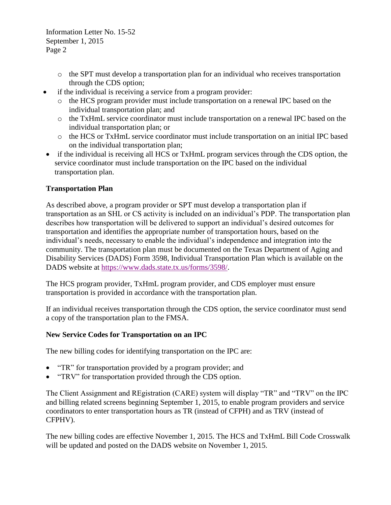Information Letter No. 15-52 September 1, 2015 Page 2

- $\circ$  the SPT must develop a transportation plan for an individual who receives transportation through the CDS option;
- if the individual is receiving a service from a program provider:
	- o the HCS program provider must include transportation on a renewal IPC based on the individual transportation plan; and
	- o the TxHmL service coordinator must include transportation on a renewal IPC based on the individual transportation plan; or
	- o the HCS or TxHmL service coordinator must include transportation on an initial IPC based on the individual transportation plan;
- if the individual is receiving all HCS or TxHmL program services through the CDS option, the service coordinator must include transportation on the IPC based on the individual transportation plan.

# **Transportation Plan**

As described above, a program provider or SPT must develop a transportation plan if transportation as an SHL or CS activity is included on an individual's PDP. The transportation plan describes how transportation will be delivered to support an individual's desired outcomes for transportation and identifies the appropriate number of transportation hours, based on the individual's needs, necessary to enable the individual's independence and integration into the community. The transportation plan must be documented on the Texas Department of Aging and Disability Services (DADS) Form 3598, Individual Transportation Plan which is available on the DADS website at [https://www.dads.state.tx.us/forms/3598/.](https://www.dads.state.tx.us/forms/3598/)

The HCS program provider, TxHmL program provider, and CDS employer must ensure transportation is provided in accordance with the transportation plan.

If an individual receives transportation through the CDS option, the service coordinator must send a copy of the transportation plan to the FMSA.

# **New Service Codes for Transportation on an IPC**

The new billing codes for identifying transportation on the IPC are:

- "TR" for transportation provided by a program provider; and
- "TRV" for transportation provided through the CDS option.

The Client Assignment and REgistration (CARE) system will display "TR" and "TRV" on the IPC and billing related screens beginning September 1, 2015, to enable program providers and service coordinators to enter transportation hours as TR (instead of CFPH) and as TRV (instead of CFPHV).

The new billing codes are effective November 1, 2015. The HCS and TxHmL Bill Code Crosswalk will be updated and posted on the DADS website on November 1, 2015.